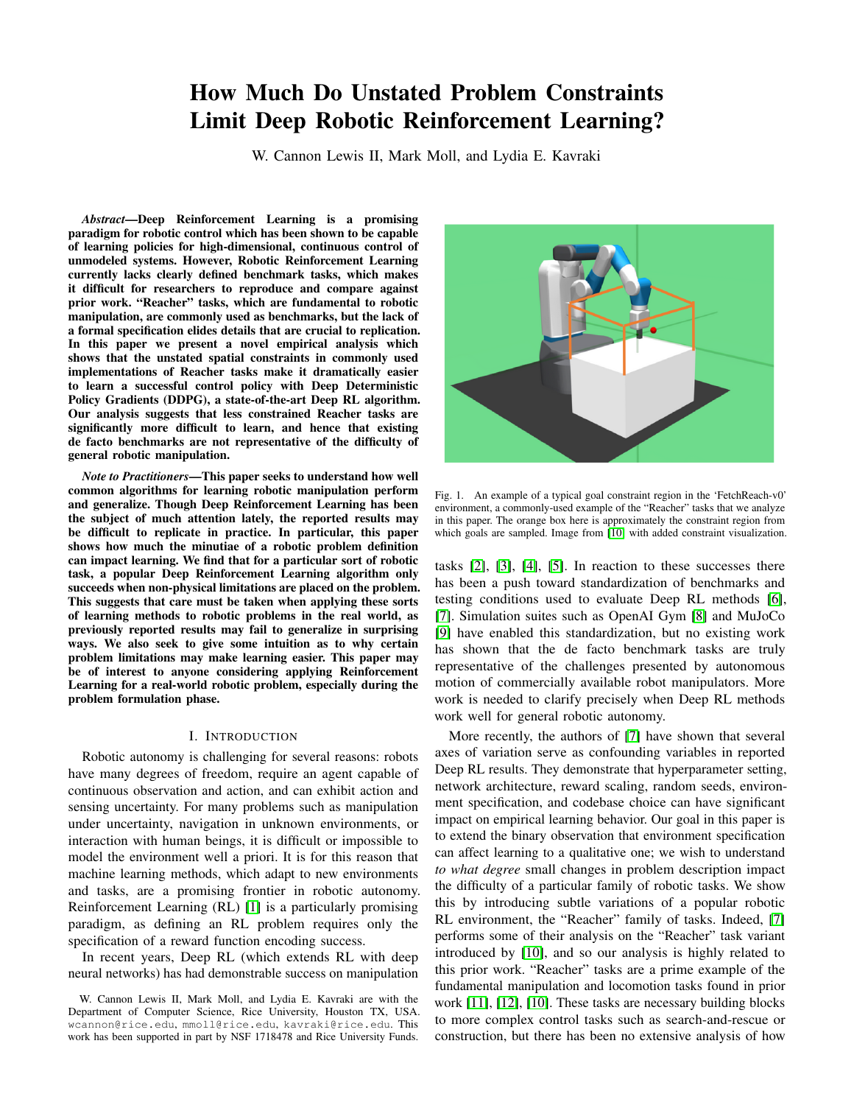# How Much Do Unstated Problem Constraints Limit Deep Robotic Reinforcement Learning?

W. Cannon Lewis II, Mark Moll, and Lydia E. Kavraki

*Abstract*—Deep Reinforcement Learning is a promising paradigm for robotic control which has been shown to be capable of learning policies for high-dimensional, continuous control of unmodeled systems. However, Robotic Reinforcement Learning currently lacks clearly defined benchmark tasks, which makes it difficult for researchers to reproduce and compare against prior work. "Reacher" tasks, which are fundamental to robotic manipulation, are commonly used as benchmarks, but the lack of a formal specification elides details that are crucial to replication. In this paper we present a novel empirical analysis which shows that the unstated spatial constraints in commonly used implementations of Reacher tasks make it dramatically easier to learn a successful control policy with Deep Deterministic Policy Gradients (DDPG), a state-of-the-art Deep RL algorithm. Our analysis suggests that less constrained Reacher tasks are significantly more difficult to learn, and hence that existing de facto benchmarks are not representative of the difficulty of general robotic manipulation.

*Note to Practitioners*—This paper seeks to understand how well common algorithms for learning robotic manipulation perform and generalize. Though Deep Reinforcement Learning has been the subject of much attention lately, the reported results may be difficult to replicate in practice. In particular, this paper shows how much the minutiae of a robotic problem definition can impact learning. We find that for a particular sort of robotic task, a popular Deep Reinforcement Learning algorithm only succeeds when non-physical limitations are placed on the problem. This suggests that care must be taken when applying these sorts of learning methods to robotic problems in the real world, as previously reported results may fail to generalize in surprising ways. We also seek to give some intuition as to why certain problem limitations may make learning easier. This paper may be of interest to anyone considering applying Reinforcement Learning for a real-world robotic problem, especially during the problem formulation phase.

## I. INTRODUCTION

Robotic autonomy is challenging for several reasons: robots have many degrees of freedom, require an agent capable of continuous observation and action, and can exhibit action and sensing uncertainty. For many problems such as manipulation under uncertainty, navigation in unknown environments, or interaction with human beings, it is difficult or impossible to model the environment well a priori. It is for this reason that machine learning methods, which adapt to new environments and tasks, are a promising frontier in robotic autonomy. Reinforcement Learning (RL) [\[1\]](#page-6-0) is a particularly promising paradigm, as defining an RL problem requires only the specification of a reward function encoding success.

In recent years, Deep RL (which extends RL with deep neural networks) has had demonstrable success on manipulation



<span id="page-0-0"></span>Fig. 1. An example of a typical goal constraint region in the 'FetchReach-v0' environment, a commonly-used example of the "Reacher" tasks that we analyze in this paper. The orange box here is approximately the constraint region from which goals are sampled. Image from [\[10\]](#page-6-1) with added constraint visualization.

tasks [\[2\]](#page-6-2), [\[3\]](#page-6-3), [\[4\]](#page-6-4), [\[5\]](#page-6-5). In reaction to these successes there has been a push toward standardization of benchmarks and testing conditions used to evaluate Deep RL methods [\[6\]](#page-6-6), [\[7\]](#page-6-7). Simulation suites such as OpenAI Gym [\[8\]](#page-6-8) and MuJoCo [\[9\]](#page-6-9) have enabled this standardization, but no existing work has shown that the de facto benchmark tasks are truly representative of the challenges presented by autonomous motion of commercially available robot manipulators. More work is needed to clarify precisely when Deep RL methods work well for general robotic autonomy.

More recently, the authors of [\[7\]](#page-6-7) have shown that several axes of variation serve as confounding variables in reported Deep RL results. They demonstrate that hyperparameter setting, network architecture, reward scaling, random seeds, environment specification, and codebase choice can have significant impact on empirical learning behavior. Our goal in this paper is to extend the binary observation that environment specification can affect learning to a qualitative one; we wish to understand *to what degree* small changes in problem description impact the difficulty of a particular family of robotic tasks. We show this by introducing subtle variations of a popular robotic RL environment, the "Reacher" family of tasks. Indeed, [\[7\]](#page-6-7) performs some of their analysis on the "Reacher" task variant introduced by [\[10\]](#page-6-1), and so our analysis is highly related to this prior work. "Reacher" tasks are a prime example of the fundamental manipulation and locomotion tasks found in prior work [\[11\]](#page-6-10), [\[12\]](#page-6-11), [\[10\]](#page-6-1). These tasks are necessary building blocks to more complex control tasks such as search-and-rescue or construction, but there has been no extensive analysis of how

W. Cannon Lewis II, Mark Moll, and Lydia E. Kavraki are with the Department of Computer Science, Rice University, Houston TX, USA. wcannon@rice.edu, mmoll@rice.edu, kavraki@rice.edu. This work has been supported in part by NSF 1718478 and Rice University Funds.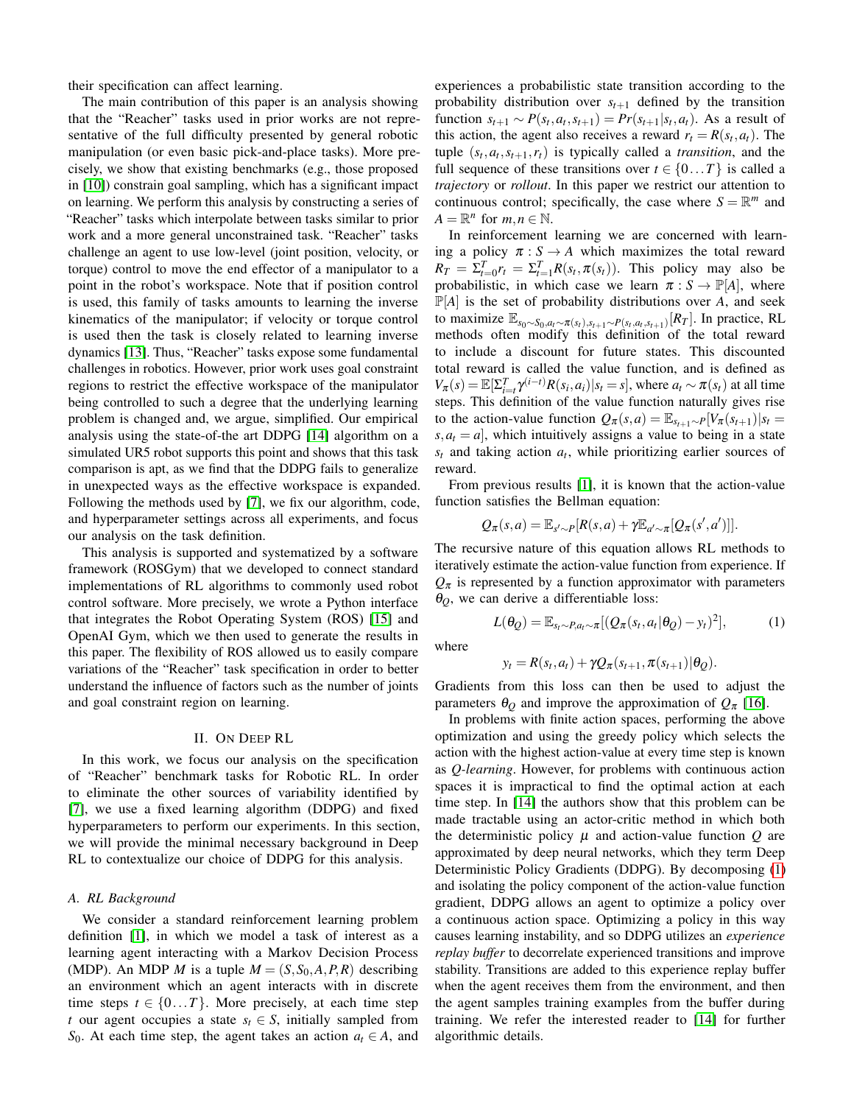their specification can affect learning.

The main contribution of this paper is an analysis showing that the "Reacher" tasks used in prior works are not representative of the full difficulty presented by general robotic manipulation (or even basic pick-and-place tasks). More precisely, we show that existing benchmarks (e.g., those proposed in [\[10\]](#page-6-1)) constrain goal sampling, which has a significant impact on learning. We perform this analysis by constructing a series of "Reacher" tasks which interpolate between tasks similar to prior work and a more general unconstrained task. "Reacher" tasks challenge an agent to use low-level (joint position, velocity, or torque) control to move the end effector of a manipulator to a point in the robot's workspace. Note that if position control is used, this family of tasks amounts to learning the inverse kinematics of the manipulator; if velocity or torque control is used then the task is closely related to learning inverse dynamics [\[13\]](#page-6-12). Thus, "Reacher" tasks expose some fundamental challenges in robotics. However, prior work uses goal constraint regions to restrict the effective workspace of the manipulator being controlled to such a degree that the underlying learning problem is changed and, we argue, simplified. Our empirical analysis using the state-of-the art DDPG [\[14\]](#page-6-13) algorithm on a simulated UR5 robot supports this point and shows that this task comparison is apt, as we find that the DDPG fails to generalize in unexpected ways as the effective workspace is expanded. Following the methods used by [\[7\]](#page-6-7), we fix our algorithm, code, and hyperparameter settings across all experiments, and focus our analysis on the task definition.

This analysis is supported and systematized by a software framework (ROSGym) that we developed to connect standard implementations of RL algorithms to commonly used robot control software. More precisely, we wrote a Python interface that integrates the Robot Operating System (ROS) [\[15\]](#page-7-0) and OpenAI Gym, which we then used to generate the results in this paper. The flexibility of ROS allowed us to easily compare variations of the "Reacher" task specification in order to better understand the influence of factors such as the number of joints and goal constraint region on learning.

## II. ON DEEP RL

In this work, we focus our analysis on the specification of "Reacher" benchmark tasks for Robotic RL. In order to eliminate the other sources of variability identified by [\[7\]](#page-6-7), we use a fixed learning algorithm (DDPG) and fixed hyperparameters to perform our experiments. In this section, we will provide the minimal necessary background in Deep RL to contextualize our choice of DDPG for this analysis.

## *A. RL Background*

We consider a standard reinforcement learning problem definition [\[1\]](#page-6-0), in which we model a task of interest as a learning agent interacting with a Markov Decision Process (MDP). An MDP *M* is a tuple  $M = (S, S_0, A, P, R)$  describing an environment which an agent interacts with in discrete time steps  $t \in \{0...T\}$ . More precisely, at each time step *t* our agent occupies a state  $s_t \in S$ , initially sampled from *S*<sub>0</sub>. At each time step, the agent takes an action  $a_t \in A$ , and

experiences a probabilistic state transition according to the probability distribution over  $s_{t+1}$  defined by the transition function  $s_{t+1}$  ∼  $P(s_t, a_t, s_{t+1}) = Pr(s_{t+1}|s_t, a_t)$ . As a result of this action, the agent also receives a reward  $r_t = R(s_t, a_t)$ . The tuple  $(s_t, a_t, s_{t+1}, r_t)$  is typically called a *transition*, and the full sequence of these transitions over  $t \in \{0...T\}$  is called a *trajectory* or *rollout*. In this paper we restrict our attention to continuous control; specifically, the case where  $S = \mathbb{R}^m$  and  $A = \mathbb{R}^n$  for  $m, n \in \mathbb{N}$ .

In reinforcement learning we are concerned with learning a policy  $\pi : S \to A$  which maximizes the total reward  $R_T = \sum_{t=0}^T r_t = \sum_{t=1}^T R(s_t, \pi(s_t))$ . This policy may also be probabilistic, in which case we learn  $\pi : S \to \mathbb{P}[A]$ , where  $\mathbb{P}[A]$  is the set of probability distributions over A, and seek to maximize  $\mathbb{E}_{s_0 \sim S_0, a_t \sim \pi(s_t), s_{t+1} \sim P(s_t, a_t, s_{t+1})}[R_T]$ . In practice, RL methods often modify this definition of the total reward to include a discount for future states. This discounted total reward is called the value function, and is defined as  $V_{\pi}(s) = \mathbb{E}[\sum_{i=t}^{T} \gamma^{(i-t)} R(s_i, a_i) | s_t = s]$ , where  $a_t \sim \pi(s_t)$  at all time steps. This definition of the value function naturally gives rise to the action-value function  $Q_{\pi}(s, a) = \mathbb{E}_{s_{t+1} \sim P}[V_{\pi}(s_{t+1})|s_t =$  $s, a_t = a$ , which intuitively assigns a value to being in a state  $s_t$  and taking action  $a_t$ , while prioritizing earlier sources of reward.

From previous results [\[1\]](#page-6-0), it is known that the action-value function satisfies the Bellman equation:

$$
Q_{\pi}(s,a) = \mathbb{E}_{s' \sim P}[R(s,a) + \gamma \mathbb{E}_{a' \sim \pi}[Q_{\pi}(s',a')]].
$$

The recursive nature of this equation allows RL methods to iteratively estimate the action-value function from experience. If  $Q_{\pi}$  is represented by a function approximator with parameters  $\theta$ <sub>*O*</sub>, we can derive a differentiable loss:

<span id="page-1-0"></span>
$$
L(\theta_Q) = \mathbb{E}_{s_t \sim P, a_t \sim \pi} [(Q_{\pi}(s_t, a_t | \theta_Q) - y_t)^2], \tag{1}
$$

where

$$
y_t = R(s_t, a_t) + \gamma Q_{\pi}(s_{t+1}, \pi(s_{t+1}) | \theta_Q).
$$

Gradients from this loss can then be used to adjust the parameters  $\theta$ <sup>*Q*</sup> and improve the approximation of  $Q$ <sup>π</sup> [\[16\]](#page-7-1).

In problems with finite action spaces, performing the above optimization and using the greedy policy which selects the action with the highest action-value at every time step is known as *Q-learning*. However, for problems with continuous action spaces it is impractical to find the optimal action at each time step. In [\[14\]](#page-6-13) the authors show that this problem can be made tractable using an actor-critic method in which both the deterministic policy  $\mu$  and action-value function  $Q$  are approximated by deep neural networks, which they term Deep Deterministic Policy Gradients (DDPG). By decomposing [\(1\)](#page-1-0) and isolating the policy component of the action-value function gradient, DDPG allows an agent to optimize a policy over a continuous action space. Optimizing a policy in this way causes learning instability, and so DDPG utilizes an *experience replay buffer* to decorrelate experienced transitions and improve stability. Transitions are added to this experience replay buffer when the agent receives them from the environment, and then the agent samples training examples from the buffer during training. We refer the interested reader to [\[14\]](#page-6-13) for further algorithmic details.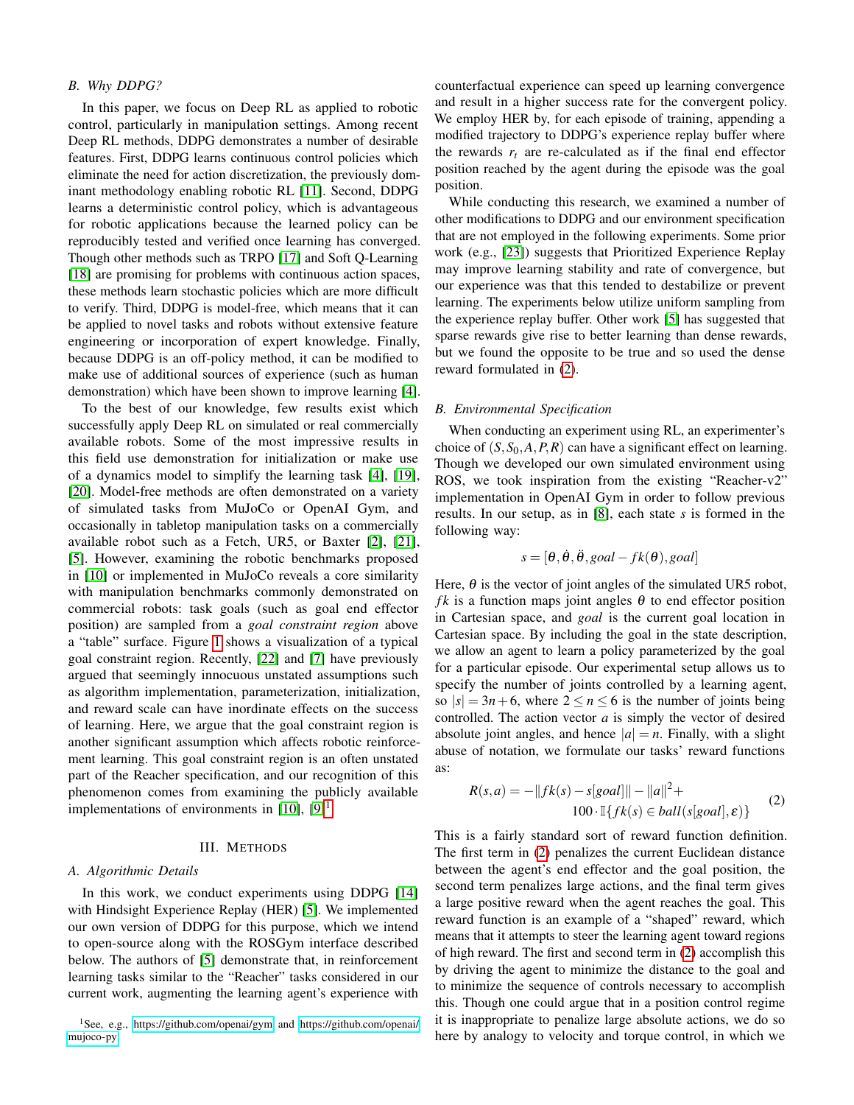## *B. Why DDPG?*

In this paper, we focus on Deep RL as applied to robotic control, particularly in manipulation settings. Among recent Deep RL methods, DDPG demonstrates a number of desirable features. First, DDPG learns continuous control policies which eliminate the need for action discretization, the previously dominant methodology enabling robotic RL [\[11\]](#page-6-10). Second, DDPG learns a deterministic control policy, which is advantageous for robotic applications because the learned policy can be reproducibly tested and verified once learning has converged. Though other methods such as TRPO [\[17\]](#page-7-2) and Soft Q-Learning [\[18\]](#page-7-3) are promising for problems with continuous action spaces, these methods learn stochastic policies which are more difficult to verify. Third, DDPG is model-free, which means that it can be applied to novel tasks and robots without extensive feature engineering or incorporation of expert knowledge. Finally, because DDPG is an off-policy method, it can be modified to make use of additional sources of experience (such as human demonstration) which have been shown to improve learning [\[4\]](#page-6-4).

To the best of our knowledge, few results exist which successfully apply Deep RL on simulated or real commercially available robots. Some of the most impressive results in this field use demonstration for initialization or make use of a dynamics model to simplify the learning task [\[4\]](#page-6-4), [\[19\]](#page-7-4), [\[20\]](#page-7-5). Model-free methods are often demonstrated on a variety of simulated tasks from MuJoCo or OpenAI Gym, and occasionally in tabletop manipulation tasks on a commercially available robot such as a Fetch, UR5, or Baxter [\[2\]](#page-6-2), [\[21\]](#page-7-6), [\[5\]](#page-6-5). However, examining the robotic benchmarks proposed in [\[10\]](#page-6-1) or implemented in MuJoCo reveals a core similarity with manipulation benchmarks commonly demonstrated on commercial robots: task goals (such as goal end effector position) are sampled from a *goal constraint region* above a "table" surface. Figure [1](#page-0-0) shows a visualization of a typical goal constraint region. Recently, [\[22\]](#page-7-7) and [\[7\]](#page-6-7) have previously argued that seemingly innocuous unstated assumptions such as algorithm implementation, parameterization, initialization, and reward scale can have inordinate effects on the success of learning. Here, we argue that the goal constraint region is another significant assumption which affects robotic reinforcement learning. This goal constraint region is an often unstated part of the Reacher specification, and our recognition of this phenomenon comes from examining the publicly available implementations of environments in  $[10]$ ,  $[9]$ <sup>[1](#page-2-0)</sup>.

### III. METHODS

## <span id="page-2-2"></span>*A. Algorithmic Details*

In this work, we conduct experiments using DDPG [\[14\]](#page-6-13) with Hindsight Experience Replay (HER) [\[5\]](#page-6-5). We implemented our own version of DDPG for this purpose, which we intend to open-source along with the ROSGym interface described below. The authors of [\[5\]](#page-6-5) demonstrate that, in reinforcement learning tasks similar to the "Reacher" tasks considered in our current work, augmenting the learning agent's experience with

counterfactual experience can speed up learning convergence and result in a higher success rate for the convergent policy. We employ HER by, for each episode of training, appending a modified trajectory to DDPG's experience replay buffer where the rewards  $r_t$  are re-calculated as if the final end effector position reached by the agent during the episode was the goal position.

While conducting this research, we examined a number of other modifications to DDPG and our environment specification that are not employed in the following experiments. Some prior work (e.g., [\[23\]](#page-7-8)) suggests that Prioritized Experience Replay may improve learning stability and rate of convergence, but our experience was that this tended to destabilize or prevent learning. The experiments below utilize uniform sampling from the experience replay buffer. Other work [\[5\]](#page-6-5) has suggested that sparse rewards give rise to better learning than dense rewards, but we found the opposite to be true and so used the dense reward formulated in [\(2\)](#page-2-1).

### *B. Environmental Specification*

When conducting an experiment using RL, an experimenter's choice of  $(S, S_0, A, P, R)$  can have a significant effect on learning. Though we developed our own simulated environment using ROS, we took inspiration from the existing "Reacher-v2" implementation in OpenAI Gym in order to follow previous results. In our setup, as in [\[8\]](#page-6-8), each state *s* is formed in the following way:

$$
s = [\theta, \dot{\theta}, \ddot{\theta}, goal - fk(\theta), goal]
$$

Here,  $\theta$  is the vector of joint angles of the simulated UR5 robot, *fk* is a function maps joint angles  $\theta$  to end effector position in Cartesian space, and *goal* is the current goal location in Cartesian space. By including the goal in the state description, we allow an agent to learn a policy parameterized by the goal for a particular episode. Our experimental setup allows us to specify the number of joints controlled by a learning agent, so  $|s| = 3n+6$ , where  $2 \le n \le 6$  is the number of joints being controlled. The action vector *a* is simply the vector of desired absolute joint angles, and hence  $|a| = n$ . Finally, with a slight abuse of notation, we formulate our tasks' reward functions as:

<span id="page-2-1"></span>
$$
R(s,a) = -\|fk(s) - s[goal] \| - \|a\|^2 +
$$
  
100 \cdot \mathbb{I}\{fk(s) \in ball(s[goal], \varepsilon)\}\t(2)

This is a fairly standard sort of reward function definition. The first term in [\(2\)](#page-2-1) penalizes the current Euclidean distance between the agent's end effector and the goal position, the second term penalizes large actions, and the final term gives a large positive reward when the agent reaches the goal. This reward function is an example of a "shaped" reward, which means that it attempts to steer the learning agent toward regions of high reward. The first and second term in [\(2\)](#page-2-1) accomplish this by driving the agent to minimize the distance to the goal and to minimize the sequence of controls necessary to accomplish this. Though one could argue that in a position control regime it is inappropriate to penalize large absolute actions, we do so here by analogy to velocity and torque control, in which we

<span id="page-2-0"></span><sup>1</sup>See, e.g.,<https://github.com/openai/gym> and [https://github.com/openai/](https://github.com/openai/mujoco-py) [mujoco-py.](https://github.com/openai/mujoco-py)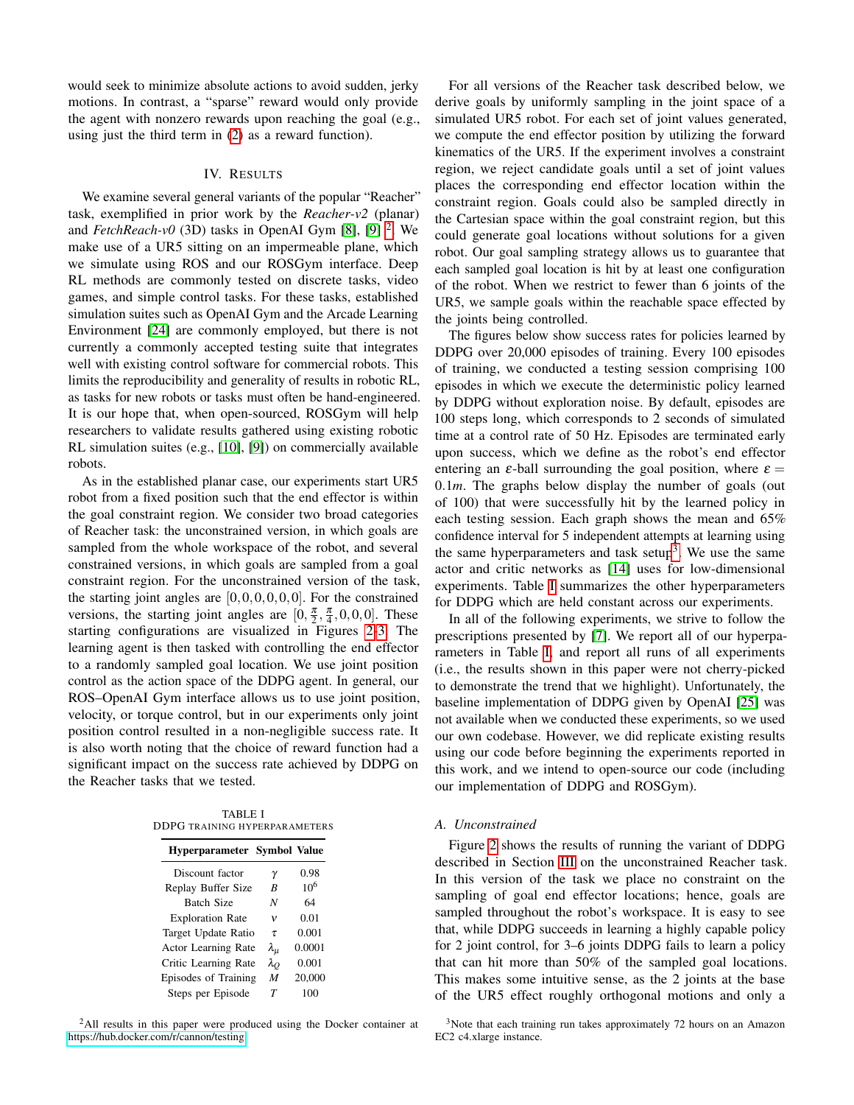would seek to minimize absolute actions to avoid sudden, jerky motions. In contrast, a "sparse" reward would only provide the agent with nonzero rewards upon reaching the goal (e.g., using just the third term in [\(2\)](#page-2-1) as a reward function).

## IV. RESULTS

We examine several general variants of the popular "Reacher" task, exemplified in prior work by the *Reacher-v2* (planar) and *FetchReach-v0* (3D) tasks in OpenAI Gym [\[8\]](#page-6-8), [\[9\]](#page-6-9) <sup>[2](#page-3-0)</sup>. We make use of a UR5 sitting on an impermeable plane, which we simulate using ROS and our ROSGym interface. Deep RL methods are commonly tested on discrete tasks, video games, and simple control tasks. For these tasks, established simulation suites such as OpenAI Gym and the Arcade Learning Environment [\[24\]](#page-7-9) are commonly employed, but there is not currently a commonly accepted testing suite that integrates well with existing control software for commercial robots. This limits the reproducibility and generality of results in robotic RL, as tasks for new robots or tasks must often be hand-engineered. It is our hope that, when open-sourced, ROSGym will help researchers to validate results gathered using existing robotic RL simulation suites (e.g., [\[10\]](#page-6-1), [\[9\]](#page-6-9)) on commercially available robots.

As in the established planar case, our experiments start UR5 robot from a fixed position such that the end effector is within the goal constraint region. We consider two broad categories of Reacher task: the unconstrained version, in which goals are sampled from the whole workspace of the robot, and several constrained versions, in which goals are sampled from a goal constraint region. For the unconstrained version of the task, the starting joint angles are  $[0,0,0,0,0,0]$ . For the constrained versions, the starting joint angles are  $[0, \frac{\pi}{2}, \frac{\pi}{4}, 0, 0, 0]$ . These starting configurations are visualized in Figures [2-](#page-4-0)[3.](#page-5-0) The learning agent is then tasked with controlling the end effector to a randomly sampled goal location. We use joint position control as the action space of the DDPG agent. In general, our ROS–OpenAI Gym interface allows us to use joint position, velocity, or torque control, but in our experiments only joint position control resulted in a non-negligible success rate. It is also worth noting that the choice of reward function had a significant impact on the success rate achieved by DDPG on the Reacher tasks that we tested.

<span id="page-3-2"></span>TABLE I DDPG TRAINING HYPERPARAMETERS

| <b>Hyperparameter Symbol Value</b> |                  |                 |
|------------------------------------|------------------|-----------------|
| Discount factor                    | γ                | 0.98            |
| Replay Buffer Size                 | R                | 10 <sup>6</sup> |
| <b>Batch Size</b>                  | N                | 64              |
| <b>Exploration Rate</b>            | v                | 0.01            |
| Target Update Ratio                | τ                | 0.001           |
| Actor Learning Rate                | λμ               | 0.0001          |
| Critic Learning Rate               | $\lambda_O$      | 0.001           |
| <b>Episodes of Training</b>        | $\boldsymbol{M}$ | 20,000          |
| Steps per Episode                  | Т                | 100             |

<span id="page-3-0"></span><sup>2</sup>All results in this paper were produced using the Docker container at [https://hub.docker.com/r/cannon/testing.](https://hub.docker.com/r/cannon/testing)

For all versions of the Reacher task described below, we derive goals by uniformly sampling in the joint space of a simulated UR5 robot. For each set of joint values generated, we compute the end effector position by utilizing the forward kinematics of the UR5. If the experiment involves a constraint region, we reject candidate goals until a set of joint values places the corresponding end effector location within the constraint region. Goals could also be sampled directly in the Cartesian space within the goal constraint region, but this could generate goal locations without solutions for a given robot. Our goal sampling strategy allows us to guarantee that each sampled goal location is hit by at least one configuration of the robot. When we restrict to fewer than 6 joints of the UR5, we sample goals within the reachable space effected by the joints being controlled.

The figures below show success rates for policies learned by DDPG over 20,000 episodes of training. Every 100 episodes of training, we conducted a testing session comprising 100 episodes in which we execute the deterministic policy learned by DDPG without exploration noise. By default, episodes are 100 steps long, which corresponds to 2 seconds of simulated time at a control rate of 50 Hz. Episodes are terminated early upon success, which we define as the robot's end effector entering an  $\varepsilon$ -ball surrounding the goal position, where  $\varepsilon =$ 0.1*m*. The graphs below display the number of goals (out of 100) that were successfully hit by the learned policy in each testing session. Each graph shows the mean and 65% confidence interval for 5 independent attempts at learning using the same hyperparameters and task setup<sup>[3](#page-3-1)</sup>. We use the same actor and critic networks as [\[14\]](#page-6-13) uses for low-dimensional experiments. Table [I](#page-3-2) summarizes the other hyperparameters for DDPG which are held constant across our experiments.

In all of the following experiments, we strive to follow the prescriptions presented by [\[7\]](#page-6-7). We report all of our hyperparameters in Table [I,](#page-3-2) and report all runs of all experiments (i.e., the results shown in this paper were not cherry-picked to demonstrate the trend that we highlight). Unfortunately, the baseline implementation of DDPG given by OpenAI [\[25\]](#page-7-10) was not available when we conducted these experiments, so we used our own codebase. However, we did replicate existing results using our code before beginning the experiments reported in this work, and we intend to open-source our code (including our implementation of DDPG and ROSGym).

#### *A. Unconstrained*

Figure [2](#page-4-0) shows the results of running the variant of DDPG described in Section [III](#page-2-2) on the unconstrained Reacher task. In this version of the task we place no constraint on the sampling of goal end effector locations; hence, goals are sampled throughout the robot's workspace. It is easy to see that, while DDPG succeeds in learning a highly capable policy for 2 joint control, for 3–6 joints DDPG fails to learn a policy that can hit more than 50% of the sampled goal locations. This makes some intuitive sense, as the 2 joints at the base of the UR5 effect roughly orthogonal motions and only a

<span id="page-3-1"></span><sup>&</sup>lt;sup>3</sup>Note that each training run takes approximately 72 hours on an Amazon EC2 c4.xlarge instance.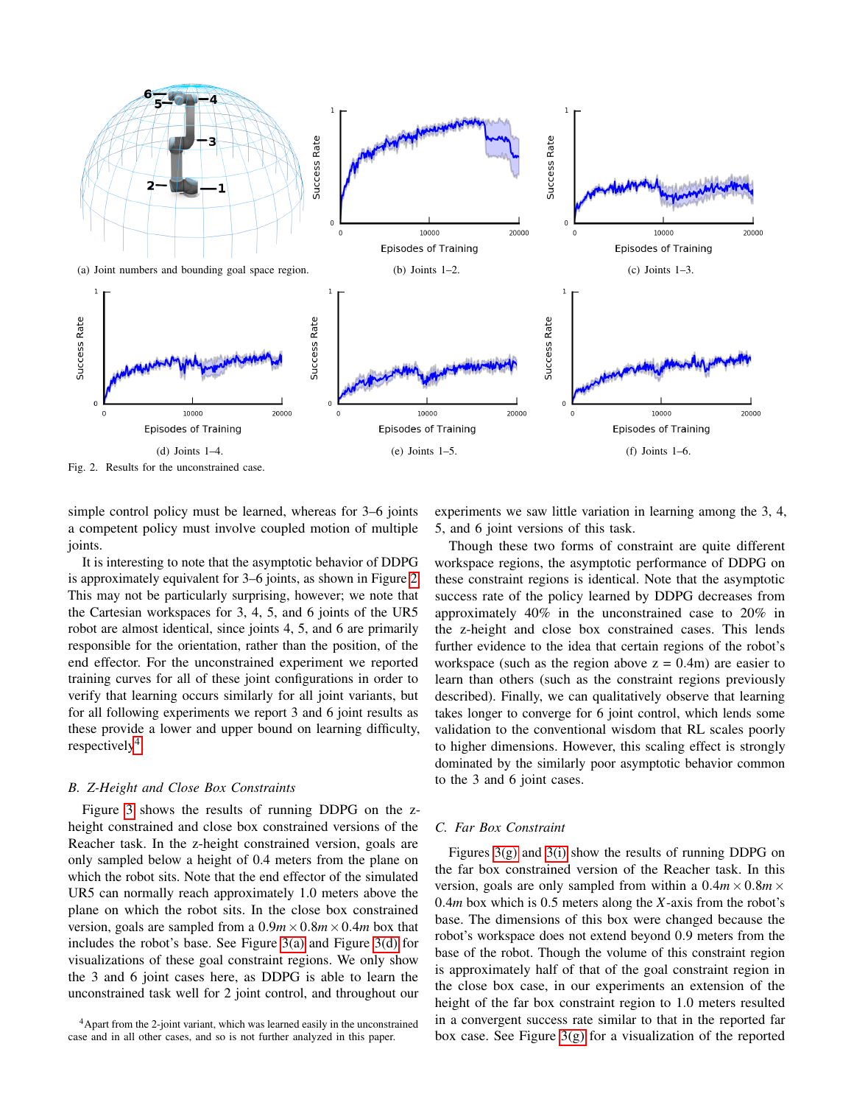

<span id="page-4-0"></span>Fig. 2. Results for the unconstrained case.

simple control policy must be learned, whereas for 3–6 joints a competent policy must involve coupled motion of multiple joints.

It is interesting to note that the asymptotic behavior of DDPG is approximately equivalent for 3–6 joints, as shown in Figure [2.](#page-4-0) This may not be particularly surprising, however; we note that the Cartesian workspaces for 3, 4, 5, and 6 joints of the UR5 robot are almost identical, since joints 4, 5, and 6 are primarily responsible for the orientation, rather than the position, of the end effector. For the unconstrained experiment we reported training curves for all of these joint configurations in order to verify that learning occurs similarly for all joint variants, but for all following experiments we report 3 and 6 joint results as these provide a lower and upper bound on learning difficulty,  $respectively<sup>4</sup>.$  $respectively<sup>4</sup>.$  $respectively<sup>4</sup>.$ 

#### *B. Z-Height and Close Box Constraints*

Figure [3](#page-5-0) shows the results of running DDPG on the zheight constrained and close box constrained versions of the Reacher task. In the z-height constrained version, goals are only sampled below a height of 0.4 meters from the plane on which the robot sits. Note that the end effector of the simulated UR5 can normally reach approximately 1.0 meters above the plane on which the robot sits. In the close box constrained version, goals are sampled from a  $0.9m \times 0.8m \times 0.4m$  box that includes the robot's base. See Figure [3\(a\)](#page-5-1) and Figure [3\(d\)](#page-5-2) for visualizations of these goal constraint regions. We only show the 3 and 6 joint cases here, as DDPG is able to learn the unconstrained task well for 2 joint control, and throughout our

experiments we saw little variation in learning among the 3, 4, 5, and 6 joint versions of this task.

Though these two forms of constraint are quite different workspace regions, the asymptotic performance of DDPG on these constraint regions is identical. Note that the asymptotic success rate of the policy learned by DDPG decreases from approximately 40% in the unconstrained case to 20% in the z-height and close box constrained cases. This lends further evidence to the idea that certain regions of the robot's workspace (such as the region above  $z = 0.4$ m) are easier to learn than others (such as the constraint regions previously described). Finally, we can qualitatively observe that learning takes longer to converge for 6 joint control, which lends some validation to the conventional wisdom that RL scales poorly to higher dimensions. However, this scaling effect is strongly dominated by the similarly poor asymptotic behavior common to the 3 and 6 joint cases.

## *C. Far Box Constraint*

Figures [3\(g\)](#page-5-3) and [3\(i\)](#page-5-4) show the results of running DDPG on the far box constrained version of the Reacher task. In this version, goals are only sampled from within a  $0.4m \times 0.8m \times$ 0.4*m* box which is 0.5 meters along the *X*-axis from the robot's base. The dimensions of this box were changed because the robot's workspace does not extend beyond 0.9 meters from the base of the robot. Though the volume of this constraint region is approximately half of that of the goal constraint region in the close box case, in our experiments an extension of the height of the far box constraint region to 1.0 meters resulted in a convergent success rate similar to that in the reported far box case. See Figure [3\(g\)](#page-5-3) for a visualization of the reported

<span id="page-4-1"></span><sup>&</sup>lt;sup>4</sup>Apart from the 2-joint variant, which was learned easily in the unconstrained case and in all other cases, and so is not further analyzed in this paper.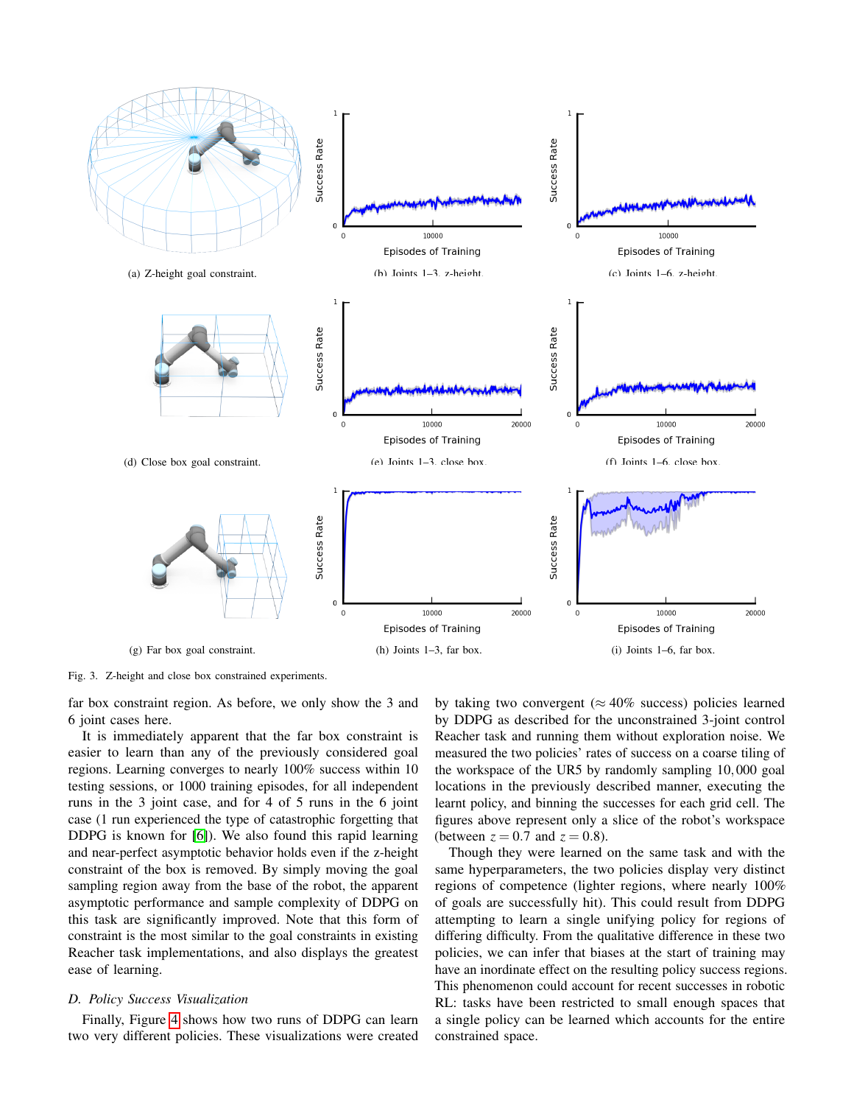<span id="page-5-2"></span><span id="page-5-1"></span>

<span id="page-5-3"></span><span id="page-5-0"></span>Fig. 3. Z-height and close box constrained experiments.

far box constraint region. As before, we only show the 3 and 6 joint cases here.

It is immediately apparent that the far box constraint is easier to learn than any of the previously considered goal regions. Learning converges to nearly 100% success within 10 testing sessions, or 1000 training episodes, for all independent runs in the 3 joint case, and for 4 of 5 runs in the 6 joint case (1 run experienced the type of catastrophic forgetting that DDPG is known for [\[6\]](#page-6-6)). We also found this rapid learning and near-perfect asymptotic behavior holds even if the z-height constraint of the box is removed. By simply moving the goal sampling region away from the base of the robot, the apparent asymptotic performance and sample complexity of DDPG on this task are significantly improved. Note that this form of constraint is the most similar to the goal constraints in existing Reacher task implementations, and also displays the greatest ease of learning.

## *D. Policy Success Visualization*

Finally, Figure [4](#page-6-14) shows how two runs of DDPG can learn two very different policies. These visualizations were created <span id="page-5-4"></span>by taking two convergent ( $\approx 40\%$  success) policies learned by DDPG as described for the unconstrained 3-joint control Reacher task and running them without exploration noise. We measured the two policies' rates of success on a coarse tiling of the workspace of the UR5 by randomly sampling 10,000 goal locations in the previously described manner, executing the learnt policy, and binning the successes for each grid cell. The figures above represent only a slice of the robot's workspace (between  $z = 0.7$  and  $z = 0.8$ ).

Though they were learned on the same task and with the same hyperparameters, the two policies display very distinct regions of competence (lighter regions, where nearly 100% of goals are successfully hit). This could result from DDPG attempting to learn a single unifying policy for regions of differing difficulty. From the qualitative difference in these two policies, we can infer that biases at the start of training may have an inordinate effect on the resulting policy success regions. This phenomenon could account for recent successes in robotic RL: tasks have been restricted to small enough spaces that a single policy can be learned which accounts for the entire constrained space.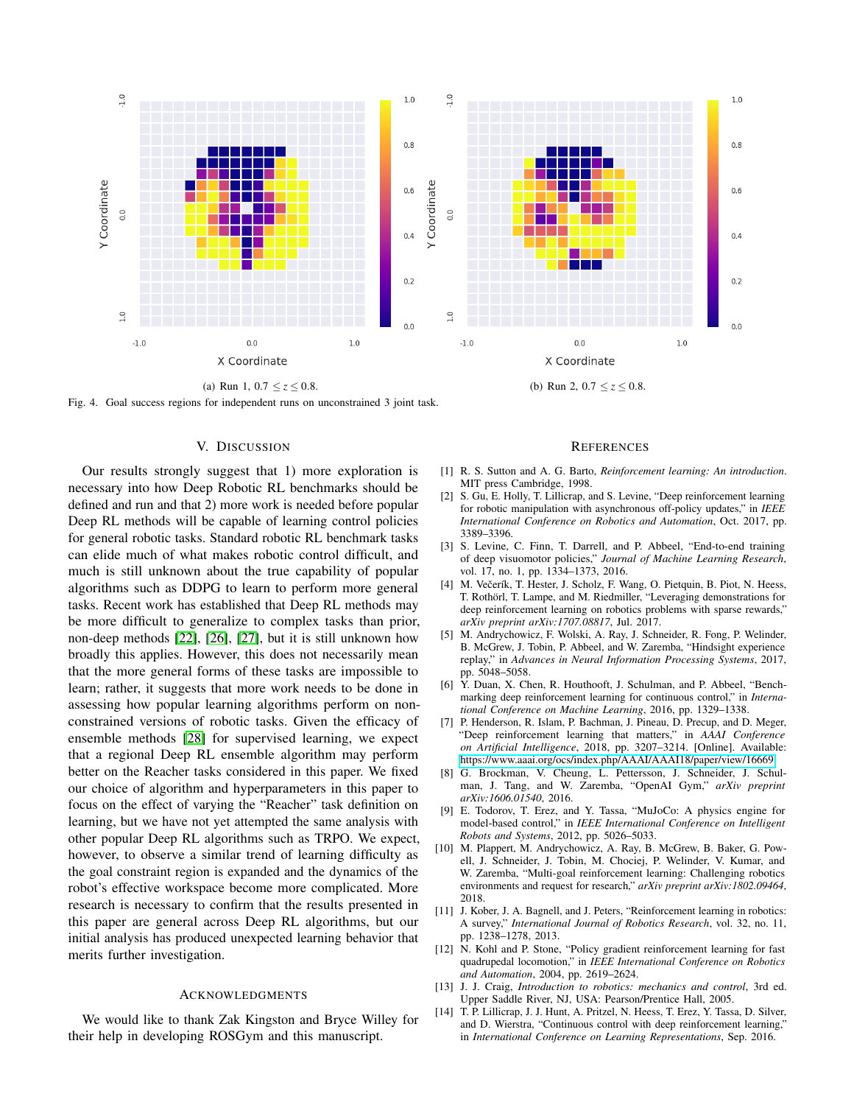

<span id="page-6-14"></span>Fig. 4. Goal success regions for independent runs on unconstrained 3 joint task.

## V. DISCUSSION

Our results strongly suggest that 1) more exploration is necessary into how Deep Robotic RL benchmarks should be defined and run and that 2) more work is needed before popular Deep RL methods will be capable of learning control policies for general robotic tasks. Standard robotic RL benchmark tasks can elide much of what makes robotic control difficult, and much is still unknown about the true capability of popular algorithms such as DDPG to learn to perform more general tasks. Recent work has established that Deep RL methods may be more difficult to generalize to complex tasks than prior, non-deep methods [\[22\]](#page-7-7), [\[26\]](#page-7-11), [\[27\]](#page-7-12), but it is still unknown how broadly this applies. However, this does not necessarily mean that the more general forms of these tasks are impossible to learn; rather, it suggests that more work needs to be done in assessing how popular learning algorithms perform on nonconstrained versions of robotic tasks. Given the efficacy of ensemble methods [\[28\]](#page-7-13) for supervised learning, we expect that a regional Deep RL ensemble algorithm may perform better on the Reacher tasks considered in this paper. We fixed our choice of algorithm and hyperparameters in this paper to focus on the effect of varying the "Reacher" task definition on learning, but we have not yet attempted the same analysis with other popular Deep RL algorithms such as TRPO. We expect, however, to observe a similar trend of learning difficulty as the goal constraint region is expanded and the dynamics of the robot's effective workspace become more complicated. More research is necessary to confirm that the results presented in this paper are general across Deep RL algorithms, but our initial analysis has produced unexpected learning behavior that merits further investigation.

#### ACKNOWLEDGMENTS

We would like to thank Zak Kingston and Bryce Willey for their help in developing ROSGym and this manuscript.

#### **REFERENCES**

- <span id="page-6-0"></span>[1] R. S. Sutton and A. G. Barto, *Reinforcement learning: An introduction*. MIT press Cambridge, 1998.
- <span id="page-6-2"></span>[2] S. Gu, E. Holly, T. Lillicrap, and S. Levine, "Deep reinforcement learning for robotic manipulation with asynchronous off-policy updates," in *IEEE International Conference on Robotics and Automation*, Oct. 2017, pp. 3389–3396.
- <span id="page-6-3"></span>[3] S. Levine, C. Finn, T. Darrell, and P. Abbeel, "End-to-end training of deep visuomotor policies," *Journal of Machine Learning Research*, vol. 17, no. 1, pp. 1334–1373, 2016.
- <span id="page-6-4"></span>[4] M. Večerík, T. Hester, J. Scholz, F. Wang, O. Pietquin, B. Piot, N. Heess, T. Rothörl, T. Lampe, and M. Riedmiller, "Leveraging demonstrations for deep reinforcement learning on robotics problems with sparse rewards," *arXiv preprint arXiv:1707.08817*, Jul. 2017.
- <span id="page-6-5"></span>[5] M. Andrychowicz, F. Wolski, A. Ray, J. Schneider, R. Fong, P. Welinder, B. McGrew, J. Tobin, P. Abbeel, and W. Zaremba, "Hindsight experience replay," in *Advances in Neural Information Processing Systems*, 2017, pp. 5048–5058.
- <span id="page-6-6"></span>[6] Y. Duan, X. Chen, R. Houthooft, J. Schulman, and P. Abbeel, "Benchmarking deep reinforcement learning for continuous control," in *International Conference on Machine Learning*, 2016, pp. 1329–1338.
- <span id="page-6-7"></span>[7] P. Henderson, R. Islam, P. Bachman, J. Pineau, D. Precup, and D. Meger, "Deep reinforcement learning that matters," in *AAAI Conference on Artificial Intelligence*, 2018, pp. 3207–3214. [Online]. Available: <https://www.aaai.org/ocs/index.php/AAAI/AAAI18/paper/view/16669>
- <span id="page-6-8"></span>[8] G. Brockman, V. Cheung, L. Pettersson, J. Schneider, J. Schulman, J. Tang, and W. Zaremba, "OpenAI Gym," *arXiv preprint arXiv:1606.01540*, 2016.
- <span id="page-6-9"></span>[9] E. Todorov, T. Erez, and Y. Tassa, "MuJoCo: A physics engine for model-based control," in *IEEE International Conference on Intelligent Robots and Systems*, 2012, pp. 5026–5033.
- <span id="page-6-1"></span>[10] M. Plappert, M. Andrychowicz, A. Ray, B. McGrew, B. Baker, G. Powell, J. Schneider, J. Tobin, M. Chociej, P. Welinder, V. Kumar, and W. Zaremba, "Multi-goal reinforcement learning: Challenging robotics environments and request for research," *arXiv preprint arXiv:1802.09464*, 2018.
- <span id="page-6-10"></span>[11] J. Kober, J. A. Bagnell, and J. Peters, "Reinforcement learning in robotics: A survey," *International Journal of Robotics Research*, vol. 32, no. 11, pp. 1238–1278, 2013.
- <span id="page-6-11"></span>[12] N. Kohl and P. Stone, "Policy gradient reinforcement learning for fast quadrupedal locomotion," in *IEEE International Conference on Robotics and Automation*, 2004, pp. 2619–2624.
- <span id="page-6-12"></span>[13] J. J. Craig, *Introduction to robotics: mechanics and control*, 3rd ed. Upper Saddle River, NJ, USA: Pearson/Prentice Hall, 2005.
- <span id="page-6-13"></span>[14] T. P. Lillicrap, J. J. Hunt, A. Pritzel, N. Heess, T. Erez, Y. Tassa, D. Silver, and D. Wierstra, "Continuous control with deep reinforcement learning," in *International Conference on Learning Representations*, Sep. 2016.